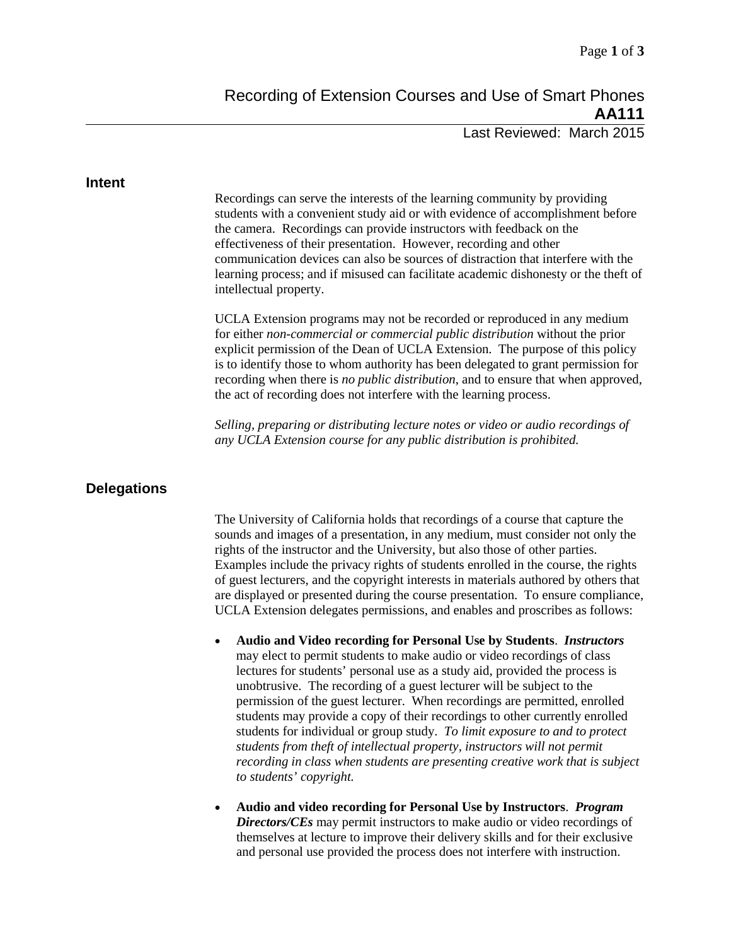Last Reviewed: March 2015

#### **Intent**

Recordings can serve the interests of the learning community by providing students with a convenient study aid or with evidence of accomplishment before the camera. Recordings can provide instructors with feedback on the effectiveness of their presentation. However, recording and other communication devices can also be sources of distraction that interfere with the learning process; and if misused can facilitate academic dishonesty or the theft of intellectual property.

UCLA Extension programs may not be recorded or reproduced in any medium for either *non-commercial or commercial public distribution* without the prior explicit permission of the Dean of UCLA Extension. The purpose of this policy is to identify those to whom authority has been delegated to grant permission for recording when there is *no public distribution*, and to ensure that when approved, the act of recording does not interfere with the learning process.

*Selling, preparing or distributing lecture notes or video or audio recordings of any UCLA Extension course for any public distribution is prohibited.*

## **Delegations**

The University of California holds that recordings of a course that capture the sounds and images of a presentation, in any medium, must consider not only the rights of the instructor and the University, but also those of other parties. Examples include the privacy rights of students enrolled in the course, the rights of guest lecturers, and the copyright interests in materials authored by others that are displayed or presented during the course presentation. To ensure compliance, UCLA Extension delegates permissions, and enables and proscribes as follows:

- **Audio and Video recording for Personal Use by Students**. *Instructors* may elect to permit students to make audio or video recordings of class lectures for students' personal use as a study aid, provided the process is unobtrusive. The recording of a guest lecturer will be subject to the permission of the guest lecturer. When recordings are permitted, enrolled students may provide a copy of their recordings to other currently enrolled students for individual or group study. *To limit exposure to and to protect students from theft of intellectual property, instructors will not permit recording in class when students are presenting creative work that is subject to students' copyright.*
- **Audio and video recording for Personal Use by Instructors**. *Program Directors/CEs* may permit instructors to make audio or video recordings of themselves at lecture to improve their delivery skills and for their exclusive and personal use provided the process does not interfere with instruction.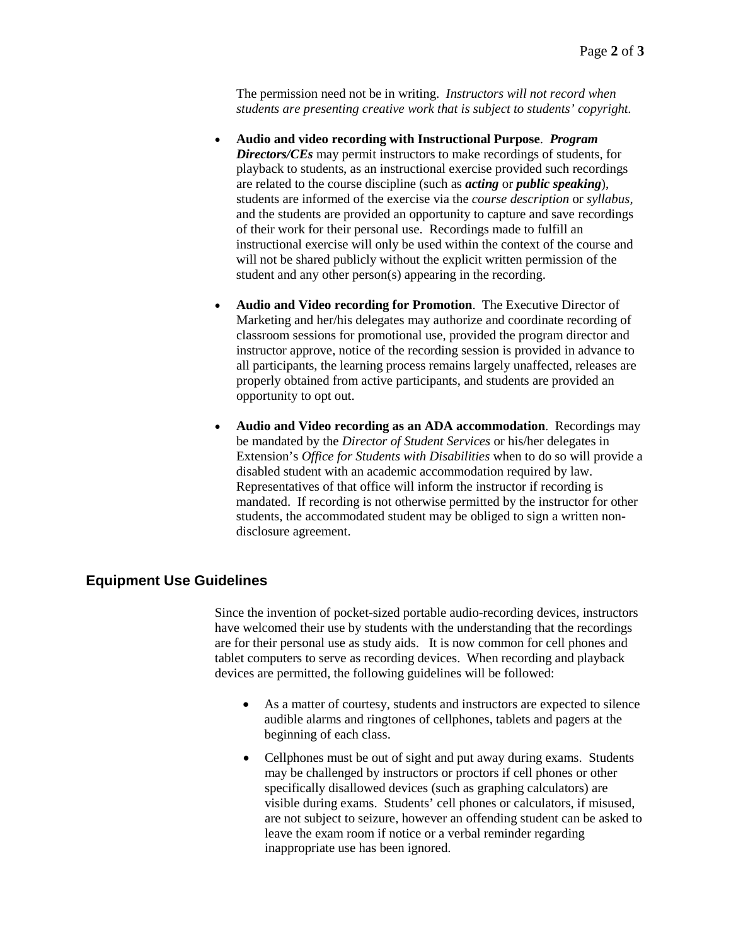The permission need not be in writing. *Instructors will not record when students are presenting creative work that is subject to students' copyright.*

- **Audio and video recording with Instructional Purpose**. *Program Directors/CEs* may permit instructors to make recordings of students, for playback to students, as an instructional exercise provided such recordings are related to the course discipline (such as *acting* or *public speaking*), students are informed of the exercise via the *course description* or *syllabus,*  and the students are provided an opportunity to capture and save recordings of their work for their personal use. Recordings made to fulfill an instructional exercise will only be used within the context of the course and will not be shared publicly without the explicit written permission of the student and any other person(s) appearing in the recording.
- **Audio and Video recording for Promotion**. The Executive Director of Marketing and her/his delegates may authorize and coordinate recording of classroom sessions for promotional use, provided the program director and instructor approve, notice of the recording session is provided in advance to all participants, the learning process remains largely unaffected, releases are properly obtained from active participants, and students are provided an opportunity to opt out.
- **Audio and Video recording as an ADA accommodation**. Recordings may be mandated by the *Director of Student Services* or his/her delegates in Extension's *Office for Students with Disabilities* when to do so will provide a disabled student with an academic accommodation required by law. Representatives of that office will inform the instructor if recording is mandated. If recording is not otherwise permitted by the instructor for other students, the accommodated student may be obliged to sign a written nondisclosure agreement.

# **Equipment Use Guidelines**

Since the invention of pocket-sized portable audio-recording devices, instructors have welcomed their use by students with the understanding that the recordings are for their personal use as study aids. It is now common for cell phones and tablet computers to serve as recording devices. When recording and playback devices are permitted, the following guidelines will be followed:

- As a matter of courtesy, students and instructors are expected to silence audible alarms and ringtones of cellphones, tablets and pagers at the beginning of each class.
- Cellphones must be out of sight and put away during exams. Students may be challenged by instructors or proctors if cell phones or other specifically disallowed devices (such as graphing calculators) are visible during exams. Students' cell phones or calculators, if misused, are not subject to seizure, however an offending student can be asked to leave the exam room if notice or a verbal reminder regarding inappropriate use has been ignored.